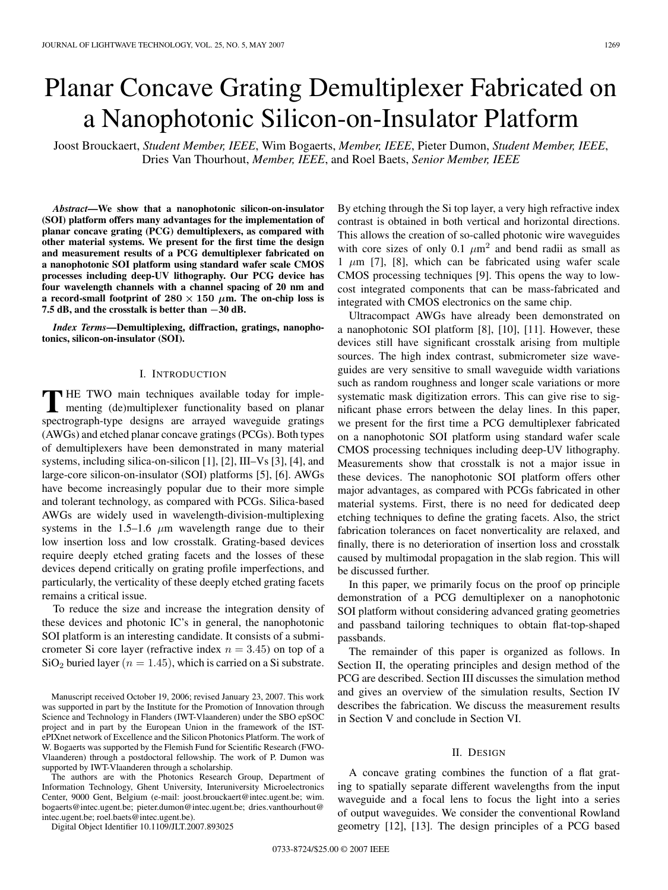# Planar Concave Grating Demultiplexer Fabricated on a Nanophotonic Silicon-on-Insulator Platform

Joost Brouckaert, *Student Member, IEEE*, Wim Bogaerts, *Member, IEEE*, Pieter Dumon, *Student Member, IEEE*, Dries Van Thourhout, *Member, IEEE*, and Roel Baets, *Senior Member, IEEE*

*Abstract***—We show that a nanophotonic silicon-on-insulator (SOI) platform offers many advantages for the implementation of planar concave grating (PCG) demultiplexers, as compared with other material systems. We present for the first time the design and measurement results of a PCG demultiplexer fabricated on a nanophotonic SOI platform using standard wafer scale CMOS processes including deep-UV lithography. Our PCG device has four wavelength channels with a channel spacing of 20 nm and a record-small footprint of**  $280 \times 150 \mu$ **m.** The on-chip loss is **7.5 dB, and the crosstalk is better than** *−***30 dB.**

*Index Terms***—Demultiplexing, diffraction, gratings, nanophotonics, silicon-on-insulator (SOI).**

### I. INTRODUCTION

THE TWO main techniques available today for imple-<br>menting (de)multiplexer functionality based on planar spectrograph-type designs are arrayed waveguide gratings (AWGs) and etched planar concave gratings (PCGs). Both types of demultiplexers have been demonstrated in many material systems, including silica-on-silicon [1], [2], III–Vs [3], [4], and large-core silicon-on-insulator (SOI) platforms [5], [6]. AWGs have become increasingly popular due to their more simple and tolerant technology, as compared with PCGs. Silica-based AWGs are widely used in wavelength-division-multiplexing systems in the 1.5–1.6  $\mu$ m wavelength range due to their low insertion loss and low crosstalk. Grating-based devices require deeply etched grating facets and the losses of these devices depend critically on grating profile imperfections, and particularly, the verticality of these deeply etched grating facets remains a critical issue.

To reduce the size and increase the integration density of these devices and photonic IC's in general, the nanophotonic SOI platform is an interesting candidate. It consists of a submicrometer Si core layer (refractive index  $n = 3.45$ ) on top of a  $SiO<sub>2</sub>$  buried layer ( $n = 1.45$ ), which is carried on a Si substrate.

Manuscript received October 19, 2006; revised January 23, 2007. This work was supported in part by the Institute for the Promotion of Innovation through Science and Technology in Flanders (IWT-Vlaanderen) under the SBO epSOC project and in part by the European Union in the framework of the ISTePIXnet network of Excellence and the Silicon Photonics Platform. The work of W. Bogaerts was supported by the Flemish Fund for Scientific Research (FWO-Vlaanderen) through a postdoctoral fellowship. The work of P. Dumon was supported by IWT-Vlaanderen through a scholarship.

The authors are with the Photonics Research Group, Department of Information Technology, Ghent University, Interuniversity Microelectronics Center, 9000 Gent, Belgium (e-mail: joost.brouckaert@intec.ugent.be; wim. bogaerts@intec.ugent.be; pieter.dumon@intec.ugent.be; dries.vanthourhout@ intec.ugent.be; roel.baets@intec.ugent.be).

Digital Object Identifier 10.1109/JLT.2007.893025

By etching through the Si top layer, a very high refractive index contrast is obtained in both vertical and horizontal directions. This allows the creation of so-called photonic wire waveguides with core sizes of only 0.1  $\mu$ m<sup>2</sup> and bend radii as small as 1  $\mu$ m [7], [8], which can be fabricated using wafer scale CMOS processing techniques [9]. This opens the way to lowcost integrated components that can be mass-fabricated and integrated with CMOS electronics on the same chip.

Ultracompact AWGs have already been demonstrated on a nanophotonic SOI platform [8], [10], [11]. However, these devices still have significant crosstalk arising from multiple sources. The high index contrast, submicrometer size waveguides are very sensitive to small waveguide width variations such as random roughness and longer scale variations or more systematic mask digitization errors. This can give rise to significant phase errors between the delay lines. In this paper, we present for the first time a PCG demultiplexer fabricated on a nanophotonic SOI platform using standard wafer scale CMOS processing techniques including deep-UV lithography. Measurements show that crosstalk is not a major issue in these devices. The nanophotonic SOI platform offers other major advantages, as compared with PCGs fabricated in other material systems. First, there is no need for dedicated deep etching techniques to define the grating facets. Also, the strict fabrication tolerances on facet nonverticality are relaxed, and finally, there is no deterioration of insertion loss and crosstalk caused by multimodal propagation in the slab region. This will be discussed further.

In this paper, we primarily focus on the proof op principle demonstration of a PCG demultiplexer on a nanophotonic SOI platform without considering advanced grating geometries and passband tailoring techniques to obtain flat-top-shaped passbands.

The remainder of this paper is organized as follows. In Section II, the operating principles and design method of the PCG are described. Section III discusses the simulation method and gives an overview of the simulation results, Section IV describes the fabrication. We discuss the measurement results in Section V and conclude in Section VI.

#### II. DESIGN

A concave grating combines the function of a flat grating to spatially separate different wavelengths from the input waveguide and a focal lens to focus the light into a series of output waveguides. We consider the conventional Rowland geometry [12], [13]. The design principles of a PCG based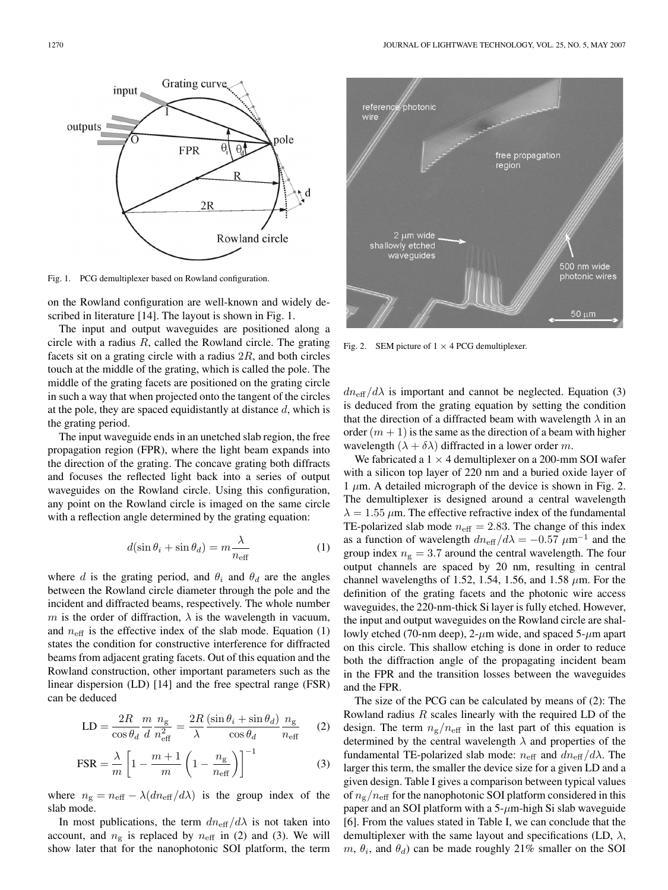free propagation

500 nm wide photonic wires

 $50 \mu m$ 



Fig. 1. PCG demultiplexer based on Rowland configuration.

on the Rowland configuration are well-known and widely described in literature [14]. The layout is shown in Fig. 1.

The input and output waveguides are positioned along a circle with a radius  $R$ , called the Rowland circle. The grating facets sit on a grating circle with a radius  $2R$ , and both circles touch at the middle of the grating, which is called the pole. The middle of the grating facets are positioned on the grating circle in such a way that when projected onto the tangent of the circles at the pole, they are spaced equidistantly at distance  $d$ , which is the grating period.

The input waveguide ends in an unetched slab region, the free propagation region (FPR), where the light beam expands into the direction of the grating. The concave grating both diffracts and focuses the reflected light back into a series of output waveguides on the Rowland circle. Using this configuration, any point on the Rowland circle is imaged on the same circle with a reflection angle determined by the grating equation:

$$
d(\sin \theta_i + \sin \theta_d) = m \frac{\lambda}{n_{\text{eff}}}
$$
 (1)

where d is the grating period, and  $\theta_i$  and  $\theta_d$  are the angles between the Rowland circle diameter through the pole and the incident and diffracted beams, respectively. The whole number m is the order of diffraction,  $\lambda$  is the wavelength in vacuum, and  $n_{\text{eff}}$  is the effective index of the slab mode. Equation (1) states the condition for constructive interference for diffracted beams from adjacent grating facets. Out of this equation and the Rowland construction, other important parameters such as the linear dispersion (LD) [14] and the free spectral range (FSR) can be deduced

$$
LD = \frac{2R}{\cos \theta_d} \frac{m}{d} \frac{n_g}{n_{\text{eff}}^2} = \frac{2R}{\lambda} \frac{(\sin \theta_i + \sin \theta_d)}{\cos \theta_d} \frac{n_g}{n_{\text{eff}}}
$$
(2)

$$
\text{FSR} = \frac{\lambda}{m} \left[ 1 - \frac{m+1}{m} \left( 1 - \frac{n_{\text{g}}}{n_{\text{eff}}} \right) \right]^{-1} \tag{3}
$$

where  $n_{\rm g} = n_{\rm eff} - \lambda (dn_{\rm eff}/d\lambda)$  is the group index of the slab mode.

In most publications, the term  $dn_{\text{eff}}/d\lambda$  is not taken into account, and  $n_{\rm g}$  is replaced by  $n_{\rm eff}$  in (2) and (3). We will show later that for the nanophotonic SOI platform, the term



photonic

2 µm wide

shallowly etched waveguides

reference wire

 $dn_{\text{eff}}/d\lambda$  is important and cannot be neglected. Equation (3) is deduced from the grating equation by setting the condition that the direction of a diffracted beam with wavelength  $\lambda$  in an order  $(m + 1)$  is the same as the direction of a beam with higher wavelength  $(\lambda + \delta \lambda)$  diffracted in a lower order m.

We fabricated a  $1 \times 4$  demultiplexer on a 200-mm SOI wafer with a silicon top layer of 220 nm and a buried oxide layer of 1  $\mu$ m. A detailed micrograph of the device is shown in Fig. 2. The demultiplexer is designed around a central wavelength  $\lambda = 1.55 \mu$ m. The effective refractive index of the fundamental TE-polarized slab mode  $n_{\text{eff}} = 2.83$ . The change of this index as a function of wavelength  $dn_{\text{eff}}/d\lambda = -0.57 \ \mu \text{m}^{-1}$  and the group index  $n<sub>g</sub> = 3.7$  around the central wavelength. The four output channels are spaced by 20 nm, resulting in central channel wavelengths of 1.52, 1.54, 1.56, and 1.58  $\mu$ m. For the definition of the grating facets and the photonic wire access waveguides, the 220-nm-thick Si layer is fully etched. However, the input and output waveguides on the Rowland circle are shallowly etched (70-nm deep), 2- $\mu$ m wide, and spaced 5- $\mu$ m apart on this circle. This shallow etching is done in order to reduce both the diffraction angle of the propagating incident beam in the FPR and the transition losses between the waveguides and the FPR.

The size of the PCG can be calculated by means of (2): The Rowland radius  $R$  scales linearly with the required LD of the design. The term  $n_{\rm g}/n_{\rm eff}$  in the last part of this equation is determined by the central wavelength  $\lambda$  and properties of the fundamental TE-polarized slab mode:  $n_{\text{eff}}$  and  $dn_{\text{eff}}/d\lambda$ . The larger this term, the smaller the device size for a given LD and a given design. Table I gives a comparison between typical values of  $n_{\rm g}/n_{\rm eff}$  for the nanophotonic SOI platform considered in this paper and an SOI platform with a  $5-\mu$ m-high Si slab waveguide [6]. From the values stated in Table I, we can conclude that the demultiplexer with the same layout and specifications (LD,  $\lambda$ ,  $m, \theta_i$ , and  $\theta_d$ ) can be made roughly 21% smaller on the SOI

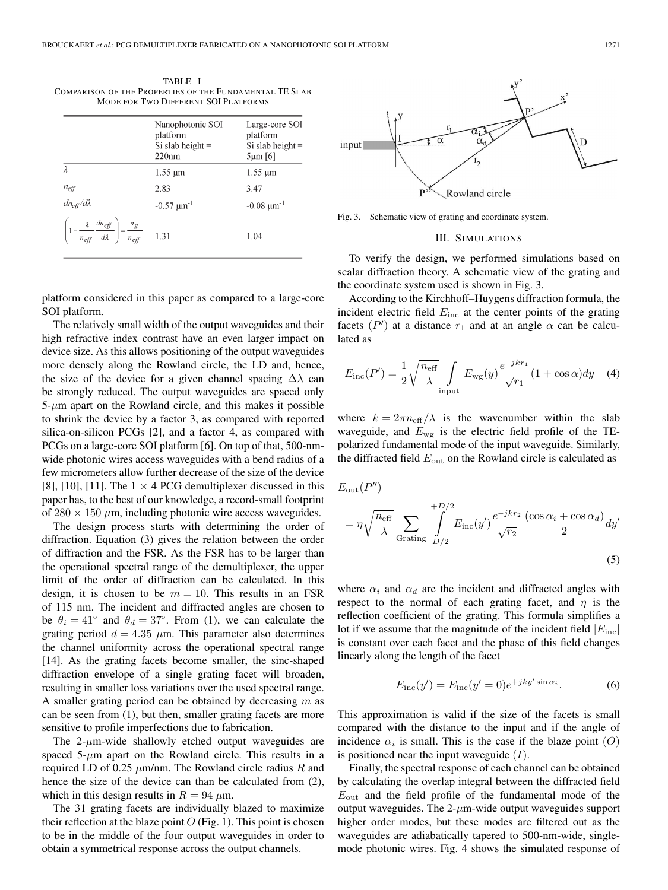TABLE I COMPARISON OF THE PROPERTIES OF THE FUNDAMENTAL TE SLAB MODE FOR TWO DIFFERENT SOI PLATFORMS

|                                                                                                               | Nanophotonic SOI<br>platform<br>Si slab height $=$<br>220nm | Large-core SOI<br>platform<br>Si slab height $=$<br>$5 \mu m$ [6] |
|---------------------------------------------------------------------------------------------------------------|-------------------------------------------------------------|-------------------------------------------------------------------|
|                                                                                                               | $1.55 \mu m$                                                | $1.55 \mu m$                                                      |
| $n_{eff}$<br>dn <sub>eff</sub> /dλ                                                                            | 2.83                                                        | 3.47                                                              |
|                                                                                                               | $-0.57 \mu m^{-1}$                                          | $-0.08 \mu m^{-1}$                                                |
| $\left(1-\frac{\lambda}{n_{\text{eff}}}-\frac{dn_{\text{eff}}}{d\lambda}\right)=\frac{n_{g}}{n_{\text{eff}}}$ | 1.31                                                        | 1.04                                                              |

platform considered in this paper as compared to a large-core SOI platform.

The relatively small width of the output waveguides and their high refractive index contrast have an even larger impact on device size. As this allows positioning of the output waveguides more densely along the Rowland circle, the LD and, hence, the size of the device for a given channel spacing  $\Delta\lambda$  can be strongly reduced. The output waveguides are spaced only  $5-\mu m$  apart on the Rowland circle, and this makes it possible to shrink the device by a factor 3, as compared with reported silica-on-silicon PCGs [2], and a factor 4, as compared with PCGs on a large-core SOI platform [6]. On top of that, 500-nmwide photonic wires access waveguides with a bend radius of a few micrometers allow further decrease of the size of the device [8], [10], [11]. The  $1 \times 4$  PCG demultiplexer discussed in this paper has, to the best of our knowledge, a record-small footprint of  $280 \times 150 \ \mu \text{m}$ , including photonic wire access waveguides.

The design process starts with determining the order of diffraction. Equation (3) gives the relation between the order of diffraction and the FSR. As the FSR has to be larger than the operational spectral range of the demultiplexer, the upper limit of the order of diffraction can be calculated. In this design, it is chosen to be  $m = 10$ . This results in an FSR of 115 nm. The incident and diffracted angles are chosen to be  $\theta_i = 41^\circ$  and  $\theta_d = 37^\circ$ . From (1), we can calculate the grating period  $d = 4.35 \mu m$ . This parameter also determines the channel uniformity across the operational spectral range [14]. As the grating facets become smaller, the sinc-shaped diffraction envelope of a single grating facet will broaden, resulting in smaller loss variations over the used spectral range. A smaller grating period can be obtained by decreasing  $m$  as can be seen from (1), but then, smaller grating facets are more sensitive to profile imperfections due to fabrication.

The  $2-\mu$ m-wide shallowly etched output waveguides are spaced  $5-\mu m$  apart on the Rowland circle. This results in a required LD of 0.25  $\mu$ m/nm. The Rowland circle radius R and hence the size of the device can than be calculated from  $(2)$ , which in this design results in  $R = 94 \mu$ m.

The 31 grating facets are individually blazed to maximize their reflection at the blaze point  $O$  (Fig. 1). This point is chosen to be in the middle of the four output waveguides in order to obtain a symmetrical response across the output channels.



Fig. 3. Schematic view of grating and coordinate system.

#### III. SIMULATIONS

To verify the design, we performed simulations based on scalar diffraction theory. A schematic view of the grating and the coordinate system used is shown in Fig. 3.

According to the Kirchhoff–Huygens diffraction formula, the incident electric field  $E_{\text{inc}}$  at the center points of the grating facets ( $P'$ ) at a distance  $r_1$  and at an angle  $\alpha$  can be calculated as

$$
E_{\rm inc}(P') = \frac{1}{2} \sqrt{\frac{n_{\rm eff}}{\lambda}} \int_{\rm input} E_{\rm wg}(y) \frac{e^{-jkr_1}}{\sqrt{r_1}} (1 + \cos \alpha) dy \quad (4)
$$

where  $k = 2\pi n_{\text{eff}}/\lambda$  is the wavenumber within the slab waveguide, and  $E_{\text{wg}}$  is the electric field profile of the TEpolarized fundamental mode of the input waveguide. Similarly, the diffracted field  $E_{\text{out}}$  on the Rowland circle is calculated as

$$
E_{\text{out}}(P'')
$$
  
=  $\eta \sqrt{\frac{n_{\text{eff}}}{\lambda}} \sum_{\text{Grating}} \int_{-D/2}^{+D/2} E_{\text{inc}}(y') \frac{e^{-jkr_2}}{\sqrt{r_2}} \frac{(\cos \alpha_i + \cos \alpha_d)}{2} dy'$  (5)

where  $\alpha_i$  and  $\alpha_d$  are the incident and diffracted angles with respect to the normal of each grating facet, and  $\eta$  is the reflection coefficient of the grating. This formula simplifies a lot if we assume that the magnitude of the incident field  $|E_{\text{inc}}|$ is constant over each facet and the phase of this field changes linearly along the length of the facet

$$
E_{\rm inc}(y') = E_{\rm inc}(y'=0)e^{+jky'\sin\alpha_i}.
$$
 (6)

This approximation is valid if the size of the facets is small compared with the distance to the input and if the angle of incidence  $\alpha_i$  is small. This is the case if the blaze point  $(O)$ is positioned near the input waveguide  $(I)$ .

Finally, the spectral response of each channel can be obtained by calculating the overlap integral between the diffracted field  $E_{\text{out}}$  and the field profile of the fundamental mode of the extent views with a surface output waveguides. The  $2-\mu$ m-wide output waveguides support higher order modes, but these modes are filtered out as the waveguides are adiabatically tapered to 500-nm-wide, singlemode photonic wires. Fig. 4 shows the simulated response of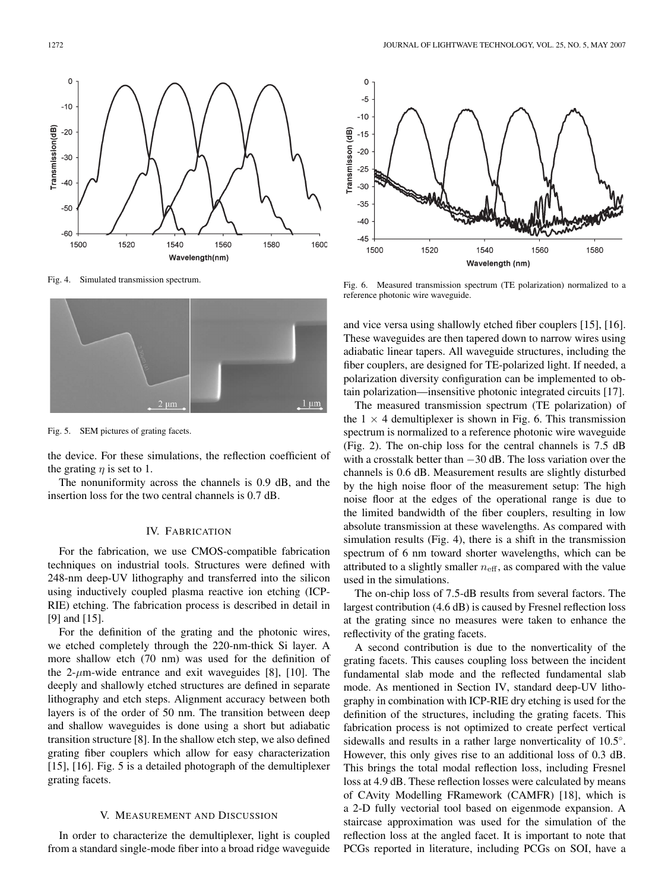

Fig. 4. Simulated transmission spectrum.



Fig. 5. SEM pictures of grating facets.

the device. For these simulations, the reflection coefficient of the grating  $\eta$  is set to 1.

The nonuniformity across the channels is 0.9 dB, and the insertion loss for the two central channels is 0.7 dB.

# IV. FABRICATION

For the fabrication, we use CMOS-compatible fabrication techniques on industrial tools. Structures were defined with 248-nm deep-UV lithography and transferred into the silicon using inductively coupled plasma reactive ion etching (ICP-RIE) etching. The fabrication process is described in detail in [9] and [15].

For the definition of the grating and the photonic wires, we etched completely through the 220-nm-thick Si layer. A more shallow etch (70 nm) was used for the definition of the 2- $\mu$ m-wide entrance and exit waveguides [8], [10]. The deeply and shallowly etched structures are defined in separate lithography and etch steps. Alignment accuracy between both layers is of the order of 50 nm. The transition between deep and shallow waveguides is done using a short but adiabatic transition structure [8]. In the shallow etch step, we also defined grating fiber couplers which allow for easy characterization [15], [16]. Fig. 5 is a detailed photograph of the demultiplexer grating facets.

## V. MEASUREMENT AND DISCUSSION

In order to characterize the demultiplexer, light is coupled from a standard single-mode fiber into a broad ridge waveguide



Fig. 6. Measured transmission spectrum (TE polarization) normalized to a reference photonic wire waveguide.

and vice versa using shallowly etched fiber couplers [15], [16]. These waveguides are then tapered down to narrow wires using adiabatic linear tapers. All waveguide structures, including the fiber couplers, are designed for TE-polarized light. If needed, a polarization diversity configuration can be implemented to obtain polarization—insensitive photonic integrated circuits [17].

The measured transmission spectrum (TE polarization) of the  $1 \times 4$  demultiplexer is shown in Fig. 6. This transmission spectrum is normalized to a reference photonic wire waveguide (Fig. 2). The on-chip loss for the central channels is 7.5 dB with a crosstalk better than −30 dB. The loss variation over the channels is 0.6 dB. Measurement results are slightly disturbed by the high noise floor of the measurement setup: The high noise floor at the edges of the operational range is due to the limited bandwidth of the fiber couplers, resulting in low absolute transmission at these wavelengths. As compared with simulation results (Fig. 4), there is a shift in the transmission spectrum of 6 nm toward shorter wavelengths, which can be attributed to a slightly smaller  $n_{\text{eff}}$ , as compared with the value used in the simulations.

The on-chip loss of 7.5-dB results from several factors. The largest contribution (4.6 dB) is caused by Fresnel reflection loss at the grating since no measures were taken to enhance the reflectivity of the grating facets.

A second contribution is due to the nonverticality of the grating facets. This causes coupling loss between the incident fundamental slab mode and the reflected fundamental slab mode. As mentioned in Section IV, standard deep-UV lithography in combination with ICP-RIE dry etching is used for the definition of the structures, including the grating facets. This fabrication process is not optimized to create perfect vertical sidewalls and results in a rather large nonverticality of 10.5°. However, this only gives rise to an additional loss of 0.3 dB. This brings the total modal reflection loss, including Fresnel loss at 4.9 dB. These reflection losses were calculated by means of CAvity Modelling FRamework (CAMFR) [18], which is a 2-D fully vectorial tool based on eigenmode expansion. A staircase approximation was used for the simulation of the reflection loss at the angled facet. It is important to note that PCGs reported in literature, including PCGs on SOI, have a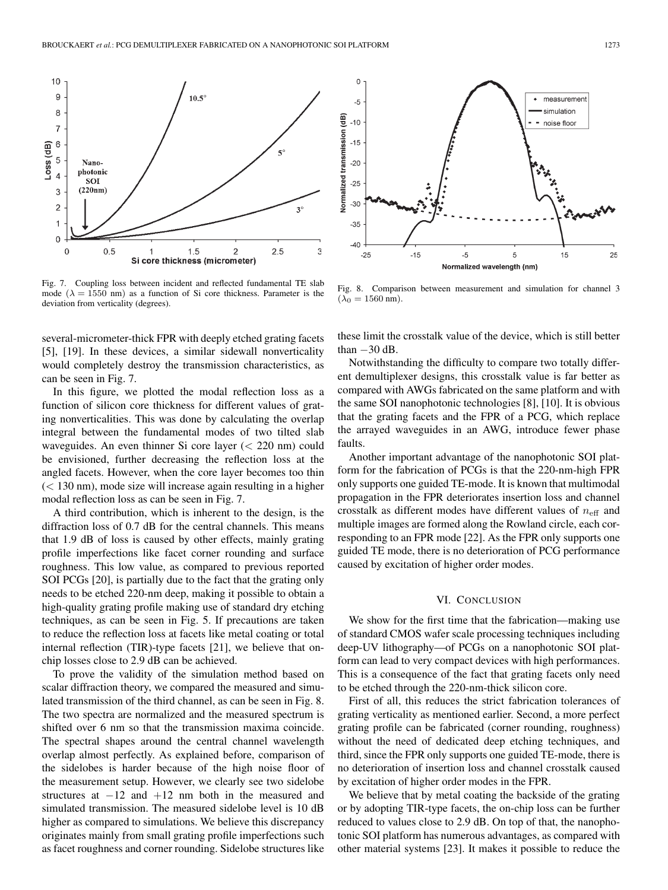

Fig. 7. Coupling loss between incident and reflected fundamental TE slab mode ( $\lambda = 1550$  nm) as a function of Si core thickness. Parameter is the deviation from verticality (degrees).

several-micrometer-thick FPR with deeply etched grating facets [5], [19]. In these devices, a similar sidewall nonverticality would completely destroy the transmission characteristics, as can be seen in Fig. 7.

In this figure, we plotted the modal reflection loss as a function of silicon core thickness for different values of grating nonverticalities. This was done by calculating the overlap integral between the fundamental modes of two tilted slab waveguides. An even thinner Si core layer (< 220 nm) could be envisioned, further decreasing the reflection loss at the angled facets. However, when the core layer becomes too thin  $(< 130 \text{ nm}$ ), mode size will increase again resulting in a higher modal reflection loss as can be seen in Fig. 7.

A third contribution, which is inherent to the design, is the diffraction loss of 0.7 dB for the central channels. This means that 1.9 dB of loss is caused by other effects, mainly grating profile imperfections like facet corner rounding and surface roughness. This low value, as compared to previous reported SOI PCGs [20], is partially due to the fact that the grating only needs to be etched 220-nm deep, making it possible to obtain a high-quality grating profile making use of standard dry etching techniques, as can be seen in Fig. 5. If precautions are taken to reduce the reflection loss at facets like metal coating or total internal reflection (TIR)-type facets [21], we believe that onchip losses close to 2.9 dB can be achieved.

To prove the validity of the simulation method based on scalar diffraction theory, we compared the measured and simulated transmission of the third channel, as can be seen in Fig. 8. The two spectra are normalized and the measured spectrum is shifted over 6 nm so that the transmission maxima coincide. The spectral shapes around the central channel wavelength overlap almost perfectly. As explained before, comparison of the sidelobes is harder because of the high noise floor of the measurement setup. However, we clearly see two sidelobe structures at  $-12$  and  $+12$  nm both in the measured and simulated transmission. The measured sidelobe level is 10 dB higher as compared to simulations. We believe this discrepancy originates mainly from small grating profile imperfections such as facet roughness and corner rounding. Sidelobe structures like



Fig. 8. Comparison between measurement and simulation for channel 3  $(\lambda_0 = 1560 \text{ nm}).$ 

these limit the crosstalk value of the device, which is still better than  $-30$  dB.

Notwithstanding the difficulty to compare two totally different demultiplexer designs, this crosstalk value is far better as compared with AWGs fabricated on the same platform and with the same SOI nanophotonic technologies [8], [10]. It is obvious that the grating facets and the FPR of a PCG, which replace the arrayed waveguides in an AWG, introduce fewer phase faults.

Another important advantage of the nanophotonic SOI platform for the fabrication of PCGs is that the 220-nm-high FPR only supports one guided TE-mode. It is known that multimodal propagation in the FPR deteriorates insertion loss and channel crosstalk as different modes have different values of  $n_{\text{eff}}$  and multiple images are formed along the Rowland circle, each corresponding to an FPR mode [22]. As the FPR only supports one guided TE mode, there is no deterioration of PCG performance caused by excitation of higher order modes.

## VI. CONCLUSION

We show for the first time that the fabrication—making use of standard CMOS wafer scale processing techniques including deep-UV lithography—of PCGs on a nanophotonic SOI platform can lead to very compact devices with high performances. This is a consequence of the fact that grating facets only need to be etched through the 220-nm-thick silicon core.

First of all, this reduces the strict fabrication tolerances of grating verticality as mentioned earlier. Second, a more perfect grating profile can be fabricated (corner rounding, roughness) without the need of dedicated deep etching techniques, and third, since the FPR only supports one guided TE-mode, there is no deterioration of insertion loss and channel crosstalk caused by excitation of higher order modes in the FPR.

We believe that by metal coating the backside of the grating or by adopting TIR-type facets, the on-chip loss can be further reduced to values close to 2.9 dB. On top of that, the nanophotonic SOI platform has numerous advantages, as compared with other material systems [23]. It makes it possible to reduce the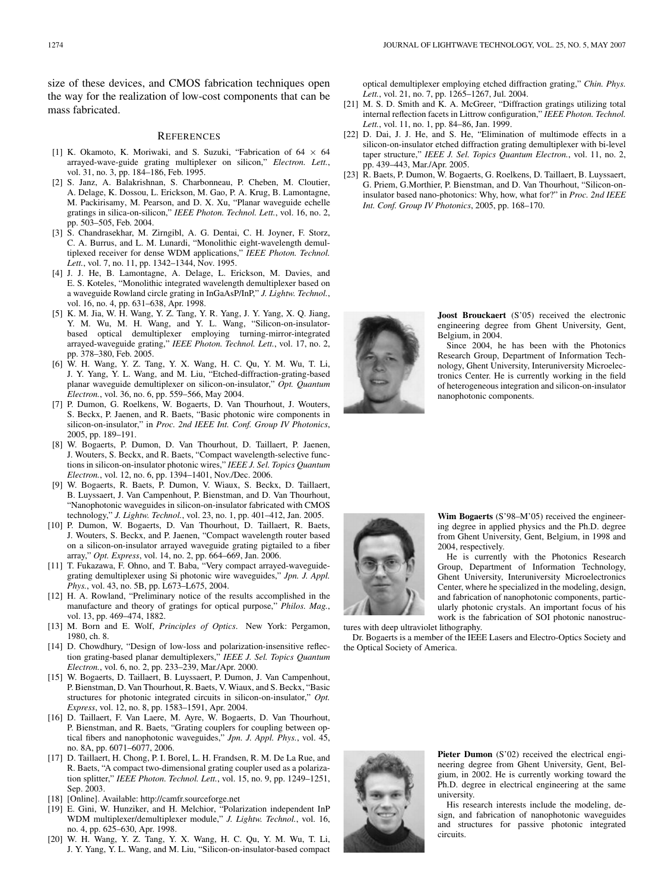size of these devices, and CMOS fabrication techniques open the way for the realization of low-cost components that can be mass fabricated.

#### **REFERENCES**

- [1] K. Okamoto, K. Moriwaki, and S. Suzuki, "Fabrication of 64 *×* 64 arrayed-wave-guide grating multiplexer on silicon," *Electron. Lett.*, vol. 31, no. 3, pp. 184–186, Feb. 1995.
- [2] S. Janz, A. Balakrishnan, S. Charbonneau, P. Cheben, M. Cloutier, A. Delage, K. Dossou, L. Erickson, M. Gao, P. A. Krug, B. Lamontagne, M. Packirisamy, M. Pearson, and D. X. Xu, "Planar waveguide echelle gratings in silica-on-silicon," *IEEE Photon. Technol. Lett.*, vol. 16, no. 2, pp. 503–505, Feb. 2004.
- [3] S. Chandrasekhar, M. Zirngibl, A. G. Dentai, C. H. Joyner, F. Storz, C. A. Burrus, and L. M. Lunardi, "Monolithic eight-wavelength demultiplexed receiver for dense WDM applications," *IEEE Photon. Technol. Lett.*, vol. 7, no. 11, pp. 1342–1344, Nov. 1995.
- [4] J. J. He, B. Lamontagne, A. Delage, L. Erickson, M. Davies, and E. S. Koteles, "Monolithic integrated wavelength demultiplexer based on a waveguide Rowland circle grating in InGaAsP/InP," *J. Lightw. Technol.*, vol. 16, no. 4, pp. 631–638, Apr. 1998.
- [5] K. M. Jia, W. H. Wang, Y. Z. Tang, Y. R. Yang, J. Y. Yang, X. Q. Jiang, Y. M. Wu, M. H. Wang, and Y. L. Wang, "Silicon-on-insulatorbased optical demultiplexer employing turning-mirror-integrated arrayed-waveguide grating," *IEEE Photon. Technol. Lett.*, vol. 17, no. 2, pp. 378–380, Feb. 2005.
- [6] W. H. Wang, Y. Z. Tang, Y. X. Wang, H. C. Qu, Y. M. Wu, T. Li, J. Y. Yang, Y. L. Wang, and M. Liu, "Etched-diffraction-grating-based planar waveguide demultiplexer on silicon-on-insulator," *Opt. Quantum Electron.*, vol. 36, no. 6, pp. 559–566, May 2004.
- [7] P. Dumon, G. Roelkens, W. Bogaerts, D. Van Thourhout, J. Wouters, S. Beckx, P. Jaenen, and R. Baets, "Basic photonic wire components in silicon-on-insulator," in *Proc. 2nd IEEE Int. Conf. Group IV Photonics*, 2005, pp. 189–191.
- [8] W. Bogaerts, P. Dumon, D. Van Thourhout, D. Taillaert, P. Jaenen, J. Wouters, S. Beckx, and R. Baets, "Compact wavelength-selective functions in silicon-on-insulator photonic wires," *IEEE J. Sel. Topics Quantum Electron.*, vol. 12, no. 6, pp. 1394–1401, Nov./Dec. 2006.
- [9] W. Bogaerts, R. Baets, P. Dumon, V. Wiaux, S. Beckx, D. Taillaert, B. Luyssaert, J. Van Campenhout, P. Bienstman, and D. Van Thourhout, "Nanophotonic waveguides in silicon-on-insulator fabricated with CMOS technology," *J. Lightw. Technol.*, vol. 23, no. 1, pp. 401–412, Jan. 2005.
- [10] P. Dumon, W. Bogaerts, D. Van Thourhout, D. Taillaert, R. Baets, J. Wouters, S. Beckx, and P. Jaenen, "Compact wavelength router based on a silicon-on-insulator arrayed waveguide grating pigtailed to a fiber array," *Opt. Express*, vol. 14, no. 2, pp. 664–669, Jan. 2006.
- [11] T. Fukazawa, F. Ohno, and T. Baba, "Very compact arrayed-waveguidegrating demultiplexer using Si photonic wire waveguides," *Jpn. J. Appl. Phys.*, vol. 43, no. 5B, pp. L673–L675, 2004.
- [12] H. A. Rowland, "Preliminary notice of the results accomplished in the manufacture and theory of gratings for optical purpose," *Philos. Mag.*, vol. 13, pp. 469–474, 1882.
- [13] M. Born and E. Wolf, *Principles of Optics*. New York: Pergamon, 1980, ch. 8.
- [14] D. Chowdhury, "Design of low-loss and polarization-insensitive reflection grating-based planar demultiplexers," *IEEE J. Sel. Topics Quantum Electron.*, vol. 6, no. 2, pp. 233–239, Mar./Apr. 2000.
- [15] W. Bogaerts, D. Taillaert, B. Luyssaert, P. Dumon, J. Van Campenhout, P. Bienstman, D. Van Thourhout, R. Baets, V. Wiaux, and S. Beckx, "Basic structures for photonic integrated circuits in silicon-on-insulator," *Opt. Express*, vol. 12, no. 8, pp. 1583–1591, Apr. 2004.
- [16] D. Taillaert, F. Van Laere, M. Ayre, W. Bogaerts, D. Van Thourhout, P. Bienstman, and R. Baets, "Grating couplers for coupling between optical fibers and nanophotonic waveguides," *Jpn. J. Appl. Phys.*, vol. 45, no. 8A, pp. 6071–6077, 2006.
- [17] D. Taillaert, H. Chong, P. I. Borel, L. H. Frandsen, R. M. De La Rue, and R. Baets, "A compact two-dimensional grating coupler used as a polarization splitter," *IEEE Photon. Technol. Lett.*, vol. 15, no. 9, pp. 1249–1251, Sep. 2003.
- [18] [Online]. Available: http://camfr.sourceforge.net
- [19] E. Gini, W. Hunziker, and H. Melchior, "Polarization independent InP WDM multiplexer/demultiplexer module," *J. Lightw. Technol.*, vol. 16, no. 4, pp. 625–630, Apr. 1998.
- [20] W. H. Wang, Y. Z. Tang, Y. X. Wang, H. C. Qu, Y. M. Wu, T. Li, J. Y. Yang, Y. L. Wang, and M. Liu, "Silicon-on-insulator-based compact

optical demultiplexer employing etched diffraction grating," *Chin. Phys. Lett.*, vol. 21, no. 7, pp. 1265–1267, Jul. 2004.

- [21] M. S. D. Smith and K. A. McGreer, "Diffraction gratings utilizing total internal reflection facets in Littrow configuration," *IEEE Photon. Technol. Lett.*, vol. 11, no. 1, pp. 84–86, Jan. 1999.
- [22] D. Dai, J. J. He, and S. He, "Elimination of multimode effects in a silicon-on-insulator etched diffraction grating demultiplexer with bi-level taper structure," *IEEE J. Sel. Topics Quantum Electron.*, vol. 11, no. 2, pp. 439–443, Mar./Apr. 2005.
- [23] R. Baets, P. Dumon, W. Bogaerts, G. Roelkens, D. Taillaert, B. Luyssaert, G. Priem, G.Morthier, P. Bienstman, and D. Van Thourhout, "Silicon-oninsulator based nano-photonics: Why, how, what for?" in *Proc. 2nd IEEE Int. Conf. Group IV Photonics*, 2005, pp. 168–170.



**Joost Brouckaert** (S'05) received the electronic engineering degree from Ghent University, Gent, Belgium, in 2004.

Since 2004, he has been with the Photonics Research Group, Department of Information Technology, Ghent University, Interuniversity Microelectronics Center. He is currently working in the field of heterogeneous integration and silicon-on-insulator nanophotonic components.



**Wim Bogaerts** (S'98–M'05) received the engineering degree in applied physics and the Ph.D. degree from Ghent University, Gent, Belgium, in 1998 and 2004, respectively.

He is currently with the Photonics Research Group, Department of Information Technology, Ghent University, Interuniversity Microelectronics Center, where he specialized in the modeling, design, and fabrication of nanophotonic components, particularly photonic crystals. An important focus of his work is the fabrication of SOI photonic nanostruc-

tures with deep ultraviolet lithography.

Dr. Bogaerts is a member of the IEEE Lasers and Electro-Optics Society and the Optical Society of America.



Pieter Dumon (S'02) received the electrical engineering degree from Ghent University, Gent, Belgium, in 2002. He is currently working toward the Ph.D. degree in electrical engineering at the same university.

His research interests include the modeling, design, and fabrication of nanophotonic waveguides and structures for passive photonic integrated circuits.